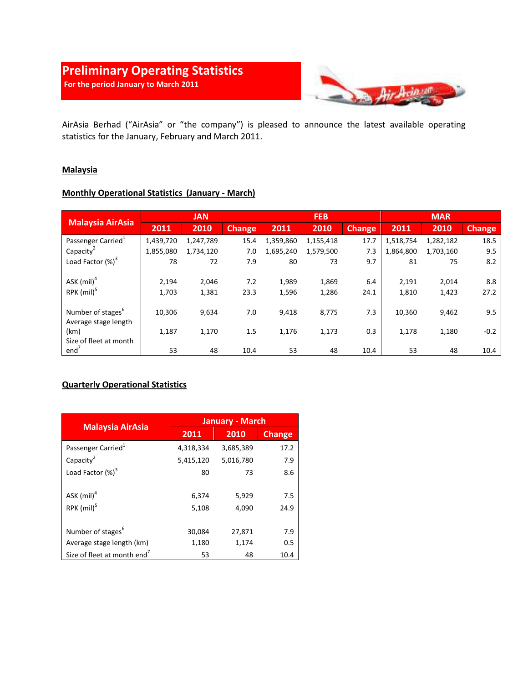# Preliminary Operating Statistics

For the period January to March 2011



AirAsia Berhad ("AirAsia" or "the company") is pleased to announce the latest available operating statistics for the January, February and March 2011.

#### **Malaysia**

#### Monthly Operational Statistics (January - March)

|                                | <b>JAN</b> |           |               | <b>FEB</b> |           |               | <b>MAR</b> |           |               |
|--------------------------------|------------|-----------|---------------|------------|-----------|---------------|------------|-----------|---------------|
| <b>Malaysia AirAsia</b>        | 2011       | 2010      | <b>Change</b> | 2011       | 2010      | <b>Change</b> | 2011       | 2010      | <b>Change</b> |
| Passenger Carried <sup>1</sup> | 1,439,720  | 1,247,789 | 15.4          | 1,359,860  | 1,155,418 | 17.7          | 1,518,754  | 1,282,182 | 18.5          |
| Capacity <sup>2</sup>          | 1,855,080  | 1,734,120 | 7.0           | 1,695,240  | 1,579,500 | 7.3           | 1,864,800  | 1,703,160 | 9.5           |
| Load Factor (%) <sup>3</sup>   | 78         | 72        | 7.9           | 80         | 73        | 9.7           | 81         | 75        | 8.2           |
|                                |            |           |               |            |           |               |            |           |               |
| ASK $(mil)^4$                  | 2,194      | 2,046     | 7.2           | 1,989      | 1,869     | 6.4           | 2,191      | 2,014     | 8.8           |
| RPK (mil) <sup>5</sup>         | 1,703      | 1,381     | 23.3          | 1,596      | 1,286     | 24.1          | 1,810      | 1,423     | 27.2          |
|                                |            |           |               |            |           |               |            |           |               |
| Number of stages <sup>6</sup>  | 10,306     | 9,634     | 7.0           | 9,418      | 8,775     | 7.3           | 10,360     | 9,462     | 9.5           |
| Average stage length           |            |           |               |            |           |               |            |           |               |
| (km)                           | 1,187      | 1,170     | 1.5           | 1,176      | 1,173     | 0.3           | 1,178      | 1,180     | $-0.2$        |
| Size of fleet at month         |            |           |               |            |           |               |            |           |               |
| end <sup>7</sup>               | 53         | 48        | 10.4          | 53         | 48        | 10.4          | 53         | 48        | 10.4          |

#### Quarterly Operational Statistics

|                                         | <b>January - March</b> |                |               |  |  |
|-----------------------------------------|------------------------|----------------|---------------|--|--|
| <b>Malaysia AirAsia</b>                 | 2011                   | 2010           | <b>Change</b> |  |  |
| Passenger Carried <sup>1</sup>          | 4,318,334              | 3,685,389      | 17.2          |  |  |
| Capacity <sup>2</sup>                   | 5,415,120              | 5,016,780      | 7.9           |  |  |
| Load Factor (%) <sup>3</sup>            | 80                     | 73             | 8.6           |  |  |
| ASK $(mil)^4$<br>RPK (mil) <sup>5</sup> | 6,374<br>5,108         | 5,929<br>4,090 | 7.5<br>24.9   |  |  |
| Number of stages <sup>b</sup>           | 30,084                 | 27,871         | 7.9           |  |  |
| Average stage length (km)               | 1,180                  | 1,174          | 0.5           |  |  |
| Size of fleet at month end <sup>7</sup> | 53                     | 48             | 10.4          |  |  |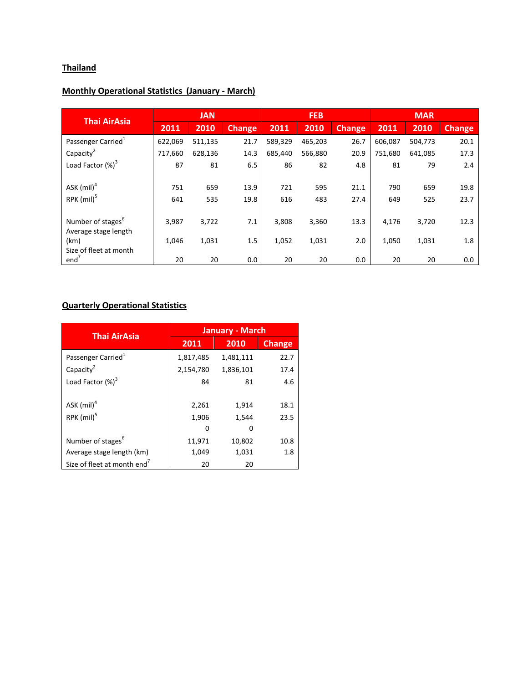## **Thailand**

## Monthly Operational Statistics (January - March)

| <b>Thai AirAsia</b>            | <b>JAN</b> |         |               | <b>FEB</b> |         |               | <b>MAR</b> |         |               |
|--------------------------------|------------|---------|---------------|------------|---------|---------------|------------|---------|---------------|
|                                | 2011       | 2010    | <b>Change</b> | 2011       | 2010    | <b>Change</b> | 2011       | 2010    | <b>Change</b> |
| Passenger Carried <sup>1</sup> | 622,069    | 511,135 | 21.7          | 589,329    | 465,203 | 26.7          | 606,087    | 504,773 | 20.1          |
| Capacity <sup>2</sup>          | 717,660    | 628,136 | 14.3          | 685,440    | 566,880 | 20.9          | 751.680    | 641,085 | 17.3          |
| Load Factor $(\%)^3$           | 87         | 81      | 6.5           | 86         | 82      | 4.8           | 81         | 79      | 2.4           |
|                                |            |         |               |            |         |               |            |         |               |
| ASK $(mil)^4$                  | 751        | 659     | 13.9          | 721        | 595     | 21.1          | 790        | 659     | 19.8          |
| $RPK$ (mil) <sup>5</sup>       | 641        | 535     | 19.8          | 616        | 483     | 27.4          | 649        | 525     | 23.7          |
|                                |            |         |               |            |         |               |            |         |               |
| Number of stages <sup>6</sup>  | 3,987      | 3,722   | 7.1           | 3,808      | 3,360   | 13.3          | 4,176      | 3,720   | 12.3          |
| Average stage length           |            |         |               |            |         |               |            |         |               |
| (km)<br>Size of fleet at month | 1,046      | 1,031   | 1.5           | 1,052      | 1,031   | 2.0           | 1,050      | 1,031   | 1.8           |
| end'                           | 20         | 20      | 0.0           | 20         | 20      | 0.0           | 20         | 20      | 0.0           |

## Quarterly Operational Statistics

| <b>Thai AirAsia</b>            | <b>January - March</b> |           |               |  |  |
|--------------------------------|------------------------|-----------|---------------|--|--|
|                                | 2011                   | 2010      | <b>Change</b> |  |  |
| Passenger Carried <sup>1</sup> | 1,817,485              | 1,481,111 | 22.7          |  |  |
| Capacity <sup>2</sup>          | 2,154,780              | 1,836,101 | 17.4          |  |  |
| Load Factor $(\%)^3$           | 84                     | 81        | 4.6           |  |  |
|                                |                        |           |               |  |  |
| ASK $(mil)^4$                  | 2,261                  | 1,914     | 18.1          |  |  |
| RPK $(mil)^5$                  | 1,906                  | 1,544     | 23.5          |  |  |
|                                | 0                      |           |               |  |  |
| Number of stages <sup>6</sup>  | 11,971                 | 10,802    | 10.8          |  |  |
| Average stage length (km)      | 1,049                  | 1,031     | 1.8           |  |  |
| Size of fleet at month end'    | 20                     | 20        |               |  |  |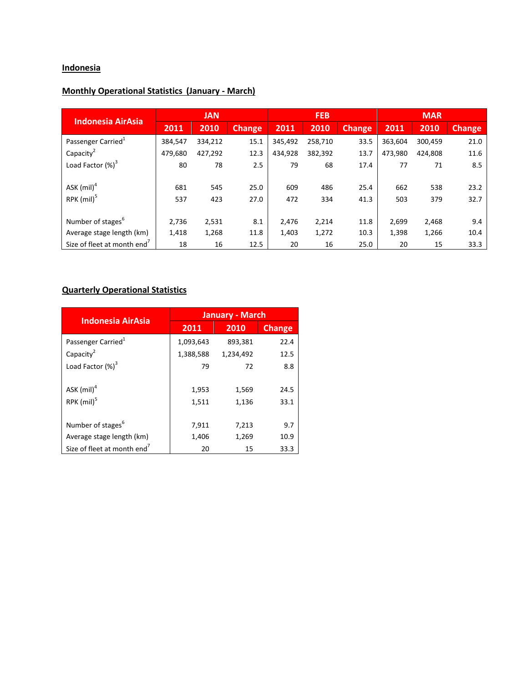## **Indonesia**

## Monthly Operational Statistics (January - March)

| <b>Indonesia AirAsia</b>       | <b>JAN</b> |         |               | <b>FEB</b> |         |               | <b>MAR</b> |         |               |
|--------------------------------|------------|---------|---------------|------------|---------|---------------|------------|---------|---------------|
|                                | 2011       | 2010    | <b>Change</b> | 2011       | 2010    | <b>Change</b> | 2011       | 2010    | <b>Change</b> |
| Passenger Carried <sup>1</sup> | 384,547    | 334,212 | 15.1          | 345,492    | 258,710 | 33.5          | 363,604    | 300,459 | 21.0          |
| Capacity <sup>2</sup>          | 479,680    | 427,292 | 12.3          | 434,928    | 382,392 | 13.7          | 473,980    | 424,808 | 11.6          |
| Load Factor $(\%)^3$           | 80         | 78      | 2.5           | 79         | 68      | 17.4          | 77         | 71      | 8.5           |
|                                |            |         |               |            |         |               |            |         |               |
| ASK (mil) <sup>4</sup>         | 681        | 545     | 25.0          | 609        | 486     | 25.4          | 662        | 538     | 23.2          |
| $RPK$ (mil) <sup>5</sup>       | 537        | 423     | 27.0          | 472        | 334     | 41.3          | 503        | 379     | 32.7          |
|                                |            |         |               |            |         |               |            |         |               |
| Number of stages <sup>o</sup>  | 2,736      | 2,531   | 8.1           | 2,476      | 2,214   | 11.8          | 2,699      | 2,468   | 9.4           |
| Average stage length (km)      | 1,418      | 1,268   | 11.8          | 1,403      | 1,272   | 10.3          | 1,398      | 1,266   | 10.4          |
| Size of fleet at month end'    | 18         | 16      | 12.5          | 20         | 16      | 25.0          | 20         | 15      | 33.3          |

#### Quarterly Operational Statistics

| <b>Indonesia AirAsia</b>                | <b>January - March</b> |           |               |  |  |
|-----------------------------------------|------------------------|-----------|---------------|--|--|
|                                         | 2011                   | 2010      | <b>Change</b> |  |  |
| Passenger Carried <sup>1</sup>          | 1,093,643              | 893,381   | 22.4          |  |  |
| Capacity <sup>2</sup>                   | 1,388,588              | 1,234,492 | 12.5          |  |  |
| Load Factor (%) <sup>3</sup>            | 79                     | 72        | 8.8           |  |  |
|                                         |                        |           |               |  |  |
| ASK $(mil)^4$                           | 1,953                  | 1,569     | 24.5          |  |  |
| RPK (mil) <sup>5</sup>                  | 1,511                  | 1,136     | 33.1          |  |  |
|                                         |                        |           |               |  |  |
| Number of stages <sup>6</sup>           | 7,911                  | 7,213     | 9.7           |  |  |
| Average stage length (km)               | 1,406                  | 1,269     | 10.9          |  |  |
| Size of fleet at month end <sup>7</sup> | 20                     | 15        | 33.3          |  |  |